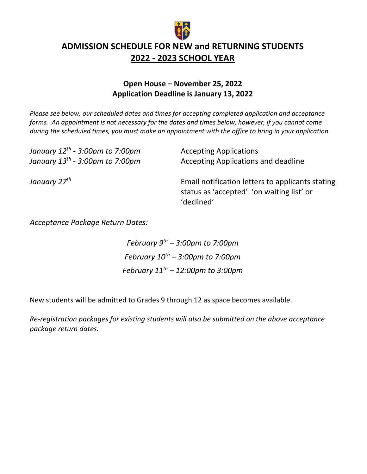

# **ADMISSION SCHEDULE FOR NEW and RETURNING STUDENTS 2022 - 2023 SCHOOL YEAR**

## **Open House – November 25, 2022 Application Deadline is January 13, 2022**

*Please see below, our scheduled dates and times for accepting completed application and acceptance forms. An appointment is not necessary for the dates and times below, however, if you cannot come during the scheduled times, you must make an appointment with the office to bring in your application.*

| January $12^{th}$ - 3:00pm to 7:00pm | <b>Accepting Applications</b>                                                                               |
|--------------------------------------|-------------------------------------------------------------------------------------------------------------|
| January $13^{th}$ - 3:00pm to 7:00pm | <b>Accepting Applications and deadline</b>                                                                  |
| January 27 <sup>th</sup>             | Email notification letters to applicants stating<br>status as 'accepted' 'on waiting list' or<br>'declined' |

*Acceptance Package Return Dates:*

*February 9 th – 3:00pm to 7:00pm February 10th – 3:00pm to 7:00pm February 11th – 12:00pm to 3:00pm*

New students will be admitted to Grades 9 through 12 as space becomes available.

*Re-registration packages for existing students will also be submitted on the above acceptance package return dates.*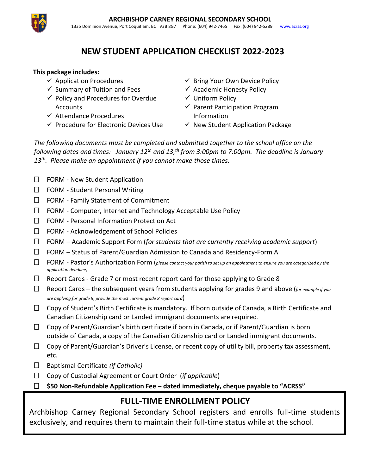## **NEW STUDENT APPLICATION CHECKLIST 2022-2023**

#### **This package includes:** Phone: (604) 942-7465 Fax: (604) 942-5289 [www.acrss.org](http://www.acrss.org/)

- $\checkmark$  Application Procedures
- $\checkmark$  Summary of Tuition and Fees
- $\checkmark$  Policy and Procedures for Overdue **Accounts**
- ✓ Attendance Procedures
- ✓ Procedure for Electronic Devices Use
- ✓ Bring Your Own Device Policy
- $\checkmark$  Academic Honesty Policy
- ✓ Uniform Policy
- $\checkmark$  Parent Participation Program Information
- $\checkmark$  New Student Application Package

*The following documents must be completed and submitted together to the school office on the following dates and times: January 12th and 13,th from 3:00pm to 7:00pm. The deadline is January 13th. Please make an appointment if you cannot make those times.*

- $\Box$  FORM New Student Application
- $\Box$  FORM Student Personal Writing
- □ FORM Family Statement of Commitment
- $\Box$  FORM Computer, Internet and Technology Acceptable Use Policy
- □ FORM Personal Information Protection Act
- □ FORM Acknowledgement of School Policies
- FORM Academic Support Form (*for students that are currently receiving academic support*)
- $\Box$  FORM Status of Parent/Guardian Admission to Canada and Residency-Form A
- FORM Pastor's Authorization Form (*please contact your parish to set up an appointment to ensure you are categorized by the application deadline)*
- $\Box$  Report Cards Grade 7 or most recent report card for those applying to Grade 8
- Report Cards the subsequent years from students applying for grades 9 and above (*for example if you are applying for grade 9, provide the most current grade 8 report card*)
- $\Box$  Copy of Student's Birth Certificate is mandatory. If born outside of Canada, a Birth Certificate and Canadian Citizenship card or Landed immigrant documents are required.
- $\Box$  Copy of Parent/Guardian's birth certificate if born in Canada, or if Parent/Guardian is born outside of Canada, a copy of the Canadian Citizenship card or Landed immigrant documents.
- $\Box$  Copy of Parent/Guardian's Driver's License, or recent copy of utility bill, property tax assessment, etc.
- Baptismal Certificate *(if Catholic)*
- Copy of Custodial Agreement or Court Order (*if applicable*)
- **\$50 Non-Refundable Application Fee – dated immediately, cheque payable to "ACRSS"**

## **FULL-TIME ENROLLMENT POLICY**

Archbishop Carney Regional Secondary School registers and enrolls full-time students exclusively, and requires them to maintain their full-time status while at the school.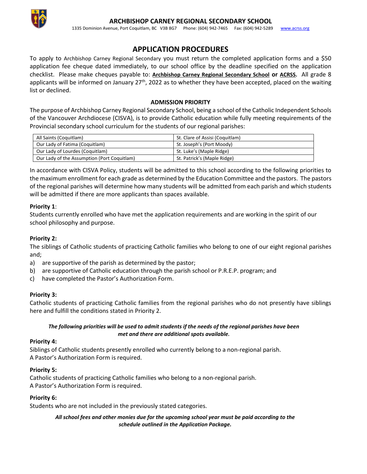

1335 Dominion Avenue, Port Coquitlam, BC V3B 8G7 Phone: (604) 942-7465 Fax: (604) 942-5289 [www.acrss.org](http://www.acrss.org/)

## **APPLICATION PROCEDURES**

To apply to Archbishop Carney Regional Secondary you must return the completed application forms and a \$50 application fee cheque dated immediately, to our school office by the deadline specified on the application application checklist. Please make cheques payable to: **Archbisho[p Carney Reg](http://www.acrss.org/)ional Secondary School or ACRSS**. All grade 8 applicants will be informed on January  $27<sup>th</sup>$ , 2022 as to whether they have been accepted, placed on the waiting list or declined.  $\frac{1}{2}$ 

#### **ADMISSION PRIORITY**

The purpose of Archbishop Carney Regional Secondary School, being a school of the Catholic Independent Schools of the Vancouver Archdiocese (CISVA), is to provide Catholic education while fully meeting requirements of the Provincial secondary school curriculum for the students of our regional parishes:

| All Saints (Coquitlam)                      | St. Clare of Assisi (Coquitlam) |
|---------------------------------------------|---------------------------------|
| Our Lady of Fatima (Coquitlam)              | St. Joseph's (Port Moody)       |
| Our Lady of Lourdes (Coquitlam)             | St. Luke's (Maple Ridge)        |
| Our Lady of the Assumption (Port Coquitlam) | St. Patrick's (Maple Ridge)     |

In accordance with CISVA Policy, students will be admitted to this school according to the following priorities to the maximum enrollment for each grade as determined by the Education Committee and the pastors. The pastors of the regional parishes will determine how many students will be admitted from each parish and which students will be admitted if there are more applicants than spaces available.

#### **Priority 1**:

Students currently enrolled who have met the application requirements and are working in the spirit of our school philosophy and purpose.

#### **Priority 2:**

The siblings of Catholic students of practicing Catholic families who belong to one of our eight regional parishes and;

- a) are supportive of the parish as determined by the pastor;
- b) are supportive of Catholic education through the parish school or P.R.E.P. program; and
- c) have completed the Pastor's Authorization Form.

#### **Priority 3:**

Catholic students of practicing Catholic families from the regional parishes who do not presently have siblings here and fulfill the conditions stated in Priority 2.

#### *The following priorities will be used to admit students if the needs of the regional parishes have been met and there are additional spots available.*

#### **Priority 4:**

Siblings of Catholic students presently enrolled who currently belong to a non-regional parish. A Pastor's Authorization Form is required.

#### **Priority 5:**

Catholic students of practicing Catholic families who belong to a non-regional parish. A Pastor's Authorization Form is required.

#### **Priority 6:**

Students who are not included in the previously stated categories.

*All school fees and other monies due for the upcoming school year must be paid according to the schedule outlined in the Application Package.*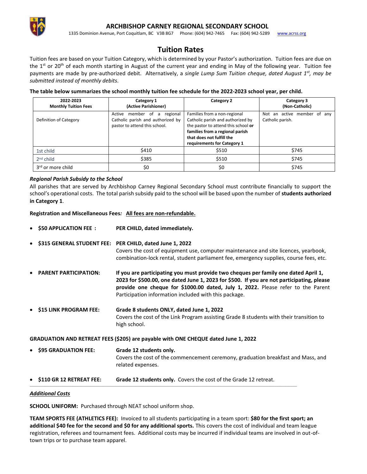

#### **ARCHBISHOP CARNEY REGIONAL SECONDARY SCHOOL**

1335 Dominion Avenue, Port Coquitlam, BC V3B 8G7 Phone: (604) 942-7465 Fax: (604) 942-5289 [www.acrss.org](http://www.acrss.org/)

## **Tuition Rates**

Tuition fees are based on your Tuition Category, which is determined by your Pastor's authorization. Tuition fees are due on the 1<sup>st</sup> or 20<sup>th</sup> of each month starting in August of the current year and ending in May of the following year. Tuition fee payments are made by pre-authorized debit. Alternatively, a single Lump Sum Tuition cheque, dated August 1<sup>st</sup>, may be submitted instead of monthly debits.

#### **The table below summarizes the school monthly tuition fee schedule for the 2022-2023 school year, per child.**

| 2022-2023<br><b>Monthly Tuition Fees</b> | Category 1<br>(Active Parishioner)                                                                        | Category 2                                                                                                                                                                                              | Category 3<br>(Non-Catholic)                    |
|------------------------------------------|-----------------------------------------------------------------------------------------------------------|---------------------------------------------------------------------------------------------------------------------------------------------------------------------------------------------------------|-------------------------------------------------|
| Definition of Category                   | regional<br>Active member of<br>a i<br>Catholic parish and authorized by<br>pastor to attend this school. | Families from a non-regional<br>Catholic parish and authorized by<br>the pastor to attend this school or<br>families from a regional parish<br>that does not fulfill the<br>requirements for Category 1 | Not an active member of any<br>Catholic parish. |
| 1st child                                | \$410                                                                                                     | \$510                                                                                                                                                                                                   | \$745                                           |
| $2nd$ child                              | \$385                                                                                                     | \$510                                                                                                                                                                                                   | \$745                                           |
| 3rd or more child                        | \$0                                                                                                       | \$0                                                                                                                                                                                                     | \$745                                           |

#### *Regional Parish Subsidy to the School*

All parishes that are served by Archbishop Carney Regional Secondary School must contribute financially to support the school's operational costs. The total parish subsidy paid to the school will be based upon the number of **students authorized in Category 1**.

**Registration and Miscellaneous Fees***:* **All fees are non-refundable.**

- **\$50 APPLICATION FEE : PER CHILD, dated immediately.**
- **\$315 GENERAL STUDENT FEE: PER CHILD, dated June 1, 2022**

Covers the cost of equipment use, computer maintenance and site licences, yearbook, combination-lock rental, student parliament fee, emergency supplies, course fees, etc.

- **PARENT PARTICIPATION: If you are participating you must provide two cheques per family one dated April 1, 2023 for \$500.00, one dated June 1, 2023 for \$500. If you are not participating, please provide one cheque for \$1000.00 dated, July 1, 2022.** Please refer to the Parent Participation information included with this package.
- **\$15 LINK PROGRAM FEE: Grade 8 students ONLY, dated June 1, 2022** Covers the cost of the Link Program assisting Grade 8 students with their transition to high school.

#### **GRADUATION AND RETREAT FEES (\$205) are payable with ONE CHEQUE dated June 1, 2022**

- **\$95 GRADUATION FEE: Grade 12 students only.**  Covers the cost of the commencement ceremony, graduation breakfast and Mass, and related expenses.
- **\$110 GR 12 RETREAT FEE: Grade 12 students only.** Covers the cost of the Grade 12 retreat.

\_\_\_\_\_\_\_\_\_\_\_\_\_\_\_\_\_\_\_\_\_\_\_\_\_\_\_\_\_\_\_\_\_\_\_\_\_\_\_\_\_\_\_\_\_\_\_\_\_\_\_\_\_\_\_\_\_\_\_\_\_\_\_\_\_\_\_\_\_\_\_\_\_\_\_\_\_\_\_\_\_\_\_\_\_\_\_\_\_\_\_\_\_\_\_\_\_\_\_\_\_\_\_\_\_\_\_\_\_\_\_\_\_\_\_\_\_\_\_\_\_\_\_\_\_\_\_\_\_\_\_\_\_\_\_\_\_\_\_\_\_\_\_\_\_\_\_\_\_\_\_\_\_\_\_\_\_\_\_\_\_\_\_\_\_\_\_\_\_\_\_\_\_\_\_\_\_\_\_

#### *Additional Costs*

**SCHOOL UNIFORM:** Purchased through NEAT school uniform shop.

**TEAM SPORTS FEE (ATHLETICS FEE):** Invoiced to all students participating in a team sport: **\$80 for the first sport; an additional \$40 fee for the second and \$0 for any additional sports.** This covers the cost of individual and team league registration, referees and tournament fees. Additional costs may be incurred if individual teams are involved in out-oftown trips or to purchase team apparel.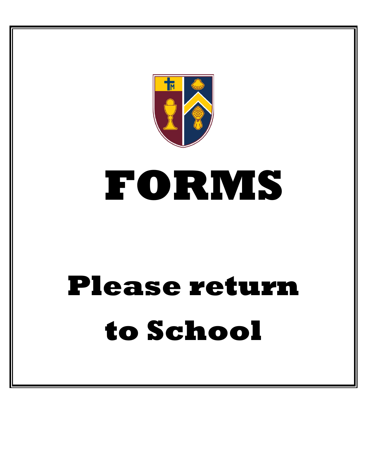

# **FORMS**

# **Please return to School**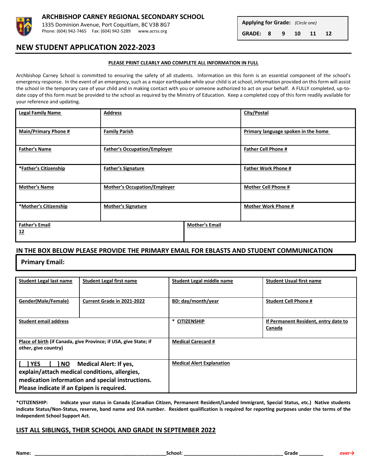

1335 Dominion Avenue, Port Coquitlam, BC V3B 8G7 Phone: (604) 942-7465 Fax: (604) 942-5289 www.acrss.org

## **NEW STUDENT APPLICATION 2022-2023**

#### **PLEASE PRINT CLEARLY AND COMPLETE ALL INFORMATION IN FULL**

Archbishop Carney School is committed to ensuring the safety of all students. Information on this form is an essential component of the school's emergency response. In the event of an emergency, such as a major earthquake while your child is at school, information provided on this form will assist the school in the temporary care of your child and in making contact with you or someone authorized to act on your behalf. A FULLY completed, up-todate copy of this form must be provided to the school as required by the Ministry of Education. Keep a completed copy of this form readily available for your reference and updating.

| <b>Legal Family Name</b>           | <b>Address</b>                      |                       | City/Postal                         |
|------------------------------------|-------------------------------------|-----------------------|-------------------------------------|
| <b>Main/Primary Phone #</b>        | <b>Family Parish</b>                |                       | Primary language spoken in the home |
| <b>Father's Name</b>               | <b>Father's Occupation/Employer</b> |                       | <b>Father Cell Phone #</b>          |
| *Father's Citizenship              | <b>Father's Signature</b>           |                       | <b>Father Work Phone #</b>          |
| <b>Mother's Name</b>               | <b>Mother's Occupation/Employer</b> |                       | <b>Mother Cell Phone #</b>          |
| *Mother's Citizenship              | <b>Mother's Signature</b>           |                       | <b>Mother Work Phone #</b>          |
| <b>Father's Email</b><br><u>12</u> |                                     | <b>Mother's Email</b> |                                     |

#### **IN THE BOX BELOW PLEASE PROVIDE THE PRIMARY EMAIL FOR EBLASTS AND STUDENT COMMUNICATION**

**Primary Email:** 

| <b>Student Legal last name</b>                                                                                                                                                                      | <b>Student Legal first name</b> | Student Legal middle name        | <b>Student Usual first name</b>                |
|-----------------------------------------------------------------------------------------------------------------------------------------------------------------------------------------------------|---------------------------------|----------------------------------|------------------------------------------------|
| Gender(Male/Female)                                                                                                                                                                                 | Current Grade in 2021-2022      | BD: day/month/year               | <b>Student Cell Phone #</b>                    |
| <b>Student email address</b>                                                                                                                                                                        |                                 | *<br><b>CITIZENSHIP</b>          | If Permanent Resident, entry date to<br>Canada |
| Place of birth (if Canada, give Province; if USA, give State; if<br>other, give country)                                                                                                            |                                 | <b>Medical Carecard #</b>        |                                                |
| <b>YES</b><br><b>NO</b><br>Medical Alert: If yes,<br>explain/attach medical conditions, allergies,<br>medication information and special instructions.<br>Please indicate if an Epipen is required. |                                 | <b>Medical Alert Explanation</b> |                                                |

**\*CITIZENSHIP: Indicate your status in Canada (Canadian Citizen, Permanent Resident/Landed Immigrant, Special Status, etc.) Native students indicate Status/Non-Status, reserve, band name and DIA number. Resident qualification is required for reporting purposes under the terms of the Independent School Support Act.**

#### **LIST ALL SIBLINGS, THEIR SCHOOL AND GRADE IN SEPTEMBER 2022**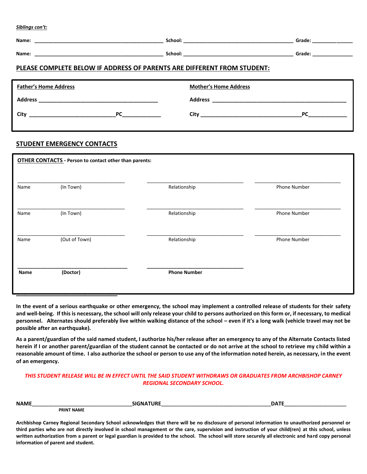| Siblings con't: |  |
|-----------------|--|
|-----------------|--|

**STUDENT RELEASE INFORMATION**

|                                                                         | Grade: <b>Example 2019</b>                                                                                                                                                                                                          |  |
|-------------------------------------------------------------------------|-------------------------------------------------------------------------------------------------------------------------------------------------------------------------------------------------------------------------------------|--|
|                                                                         |                                                                                                                                                                                                                                     |  |
| PLEASE COMPLETE BELOW IF ADDRESS OF PARENTS ARE DIFFERENT FROM STUDENT: |                                                                                                                                                                                                                                     |  |
| <b>Father's Home Address</b>                                            | <b>Mother's Home Address</b>                                                                                                                                                                                                        |  |
|                                                                         |                                                                                                                                                                                                                                     |  |
|                                                                         | <b>PC</b> and the state of the state of the state of the state of the state of the state of the state of the state of the state of the state of the state of the state of the state of the state of the state of the state of the s |  |
|                                                                         |                                                                                                                                                                                                                                     |  |
| STUDENT EMERGENCY CONTACTS                                              |                                                                                                                                                                                                                                     |  |
| <b>OTHER CONTACTS</b> - Person to contact other than parents:           |                                                                                                                                                                                                                                     |  |
|                                                                         |                                                                                                                                                                                                                                     |  |
| (In Town)<br>Name                                                       | Relationship<br><b>Phone Number</b>                                                                                                                                                                                                 |  |
|                                                                         |                                                                                                                                                                                                                                     |  |

Name (In Town) and the Controller of Relationship Relationship Relationship Phone Number

Name (Out of Town) and Communicationship Relationship Relationship Phone Number

**\_\_\_\_\_\_\_\_\_\_\_\_\_\_\_\_\_\_\_\_\_\_\_\_\_\_\_\_\_\_\_\_\_\_\_\_\_\_\_\_\_ \_\_\_\_\_\_\_\_\_\_\_\_\_\_\_\_\_\_\_\_\_\_\_\_\_\_\_\_\_\_\_\_\_\_\_\_**

**Name** (Doctor) **Phone Number** 

\_\_\_\_\_\_\_\_\_\_\_\_\_\_\_\_\_\_\_\_\_\_\_\_\_\_\_\_\_\_\_\_\_\_\_\_\_\_\_\_ \_\_\_\_\_\_\_\_\_\_\_\_\_\_\_\_\_\_\_\_\_\_\_\_\_\_\_\_\_\_\_\_\_\_\_\_ \_\_\_\_\_\_\_\_\_\_\_\_\_\_\_\_\_\_\_\_\_\_\_\_\_\_\_\_\_\_\_\_

#### **In the event of a serious earthquake or other emergency, the school may implement a controlled release of students for their safety and well-being. If this is necessary, the school will only release your child to persons authorized on this form or, if necessary, to medical personnel. Alternates should preferably live within walking distance of the school – even if it's a long walk (vehicle travel may not be possible after an earthquake).**

**As a parent/guardian of the said named student, I authorize his/her release after an emergency to any of the Alternate Contacts listed herein if I or another parent/guardian of the student cannot be contacted or do not arrive at the school to retrieve my child within a reasonable amount of time. I also authorize the school or person to use any of the information noted herein, as necessary, in the event of an emergency.**

#### *THIS STUDENT RELEASE WILL BE IN EFFECT UNTIL THE SAID STUDENT WITHDRAWS OR GRADUATES FROM ARCHBISHOP CARNEY REGIONAL SECONDARY SCHOOL.*

| <b>NAME</b> |                   | SIGNATURE<br>signa | <b>DATF</b> |
|-------------|-------------------|--------------------|-------------|
|             | <b>PRINT NAME</b> |                    |             |
|             |                   |                    |             |

**Archbishop Carney Regional Secondary School acknowledges that there will be no disclosure of personal information to unauthorized personnel or third parties who are not directly involved in school management or the care, supervision and instruction of your child(ren) at this school, unless written authorization from a parent or legal guardian is provided to the school. The school will store securely all electronic and hard copy personal information of parent and student.**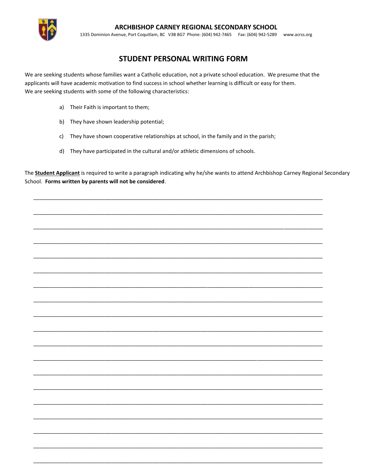

## **STUDENT PERSONAL WRITING FORM**

We are seeking students whose families want a Catholic education, not a private school education. We presume that the applicants will have academic motivation to find success in school whether learning is difficult or easy for them. We are seeking students with some of the following characteristics:

- a) Their Faith is important to them;
- b) They have shown leadership potential;
- They have shown cooperative relationships at school, in the family and in the parish; c)
- d) They have participated in the cultural and/or athletic dimensions of schools.

The **Student Applicant** is required to write a paragraph indicating why he/she wants to attend Archbishop Carney Regional Secondary School. Forms written by parents will not be considered.

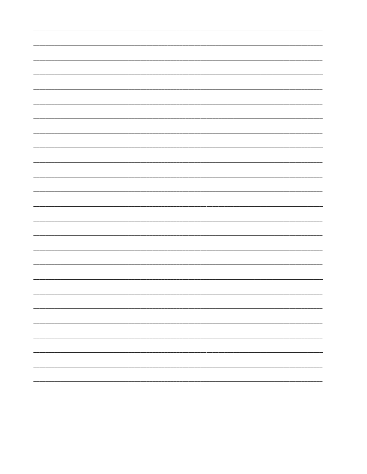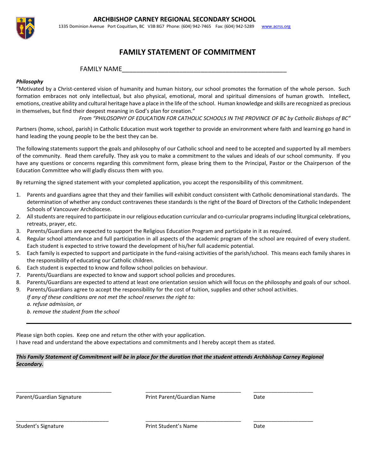

## **FAMILY STATEMENT OF COMMITMENT**

#### FAMILY NAME\_\_\_\_\_\_\_\_\_\_\_\_\_\_\_\_\_\_\_\_\_\_\_\_\_\_\_\_\_\_\_\_\_\_\_\_\_\_\_\_\_\_\_\_\_\_

#### *Philosophy*

"Motivated by a Christ-centered vision of humanity and human history, our school promotes the formation of the whole person. Such formation embraces not only intellectual, but also physical, emotional, moral and spiritual dimensions of human growth. Intellect, emotions, creative ability and cultural heritage have a place in the life of the school. Human knowledge and skills are recognized as precious in themselves, but find their deepest meaning in God's plan for creation."

#### *From "PHILOSOPHY OF EDUCATION FOR CATHOLIC SCHOOLS IN THE PROVINCE OF BC by Catholic Bishops of BC"*

Partners (home, school, parish) in Catholic Education must work together to provide an environment where faith and learning go hand in hand leading the young people to be the best they can be.

The following statements support the goals and philosophy of our Catholic school and need to be accepted and supported by all members of the community. Read them carefully. They ask you to make a commitment to the values and ideals of our school community. If you have any questions or concerns regarding this commitment form, please bring them to the Principal, Pastor or the Chairperson of the Education Committee who will gladly discuss them with you.

By returning the signed statement with your completed application, you accept the responsibility of this commitment.

- 1. Parents and guardians agree that they and their families will exhibit conduct consistent with Catholic denominational standards. The determination of whether any conduct contravenes these standards is the right of the Board of Directors of the Catholic Independent Schools of Vancouver Archdiocese.
- 2. All students are required to participate in our religious education curricular and co-curricular programs including liturgical celebrations, retreats, prayer, etc.
- 3. Parents/Guardians are expected to support the Religious Education Program and participate in it as required.
- 4. Regular school attendance and full participation in all aspects of the academic program of the school are required of every student. Each student is expected to strive toward the development of his/her full academic potential.
- 5. Each family is expected to support and participate in the fund-raising activities of the parish/school. This means each family shares in the responsibility of educating our Catholic children.
- 6. Each student is expected to know and follow school policies on behaviour.
- 7. Parents/Guardians are expected to know and support school policies and procedures.
- 8. Parents/Guardians are expected to attend at least one orientation session which will focus on the philosophy and goals of our school.
- 9. Parents/Guardians agree to accept the responsibility for the cost of tuition, supplies and other school activities.

*If any of these conditions are not met the school reserves the right to: a. refuse admission, or*

*b. remove the student from the school*

| Please sign both copies. Keep one and return the other with your application.                         |
|-------------------------------------------------------------------------------------------------------|
| I have read and understand the above expectations and commitments and I hereby accept them as stated. |

#### *This Family Statement of Commitment will be in place for the duration that the student attends Archbishop Carney Regional Secondary.*

\_\_\_\_\_\_\_\_\_\_\_\_\_\_\_\_\_\_\_\_\_\_\_\_\_\_\_\_\_\_\_\_ \_\_\_\_\_\_\_\_\_\_\_\_\_\_\_\_\_\_\_\_\_\_\_\_\_\_\_\_\_\_\_\_ \_\_\_\_\_\_\_\_\_\_\_\_\_\_\_\_\_\_\_\_

\_\_\_\_\_\_\_\_\_\_\_\_\_\_\_\_\_\_\_\_\_\_\_\_\_\_\_\_\_\_\_ \_\_\_\_\_\_\_\_\_\_\_\_\_\_\_\_\_\_\_\_\_\_\_\_\_\_\_\_\_\_\_\_ \_\_\_\_\_\_\_\_\_\_\_\_\_\_\_\_\_\_\_\_

Parent/Guardian Signature **Print Parent/Guardian Name** Date

Student's Signature **Print Student's Name** Date Date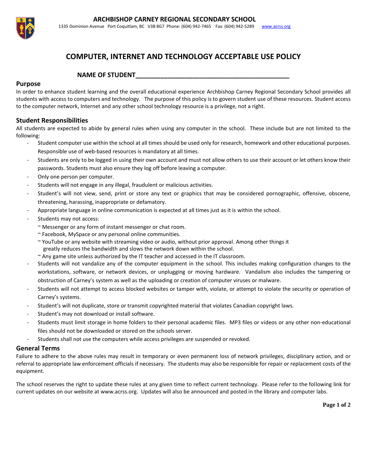

## **COMPUTER, INTERNET AND TECHNOLOGY ACCEPTABLE USE POLICY**

#### NAME OF STUDENT

#### **Purpose**

In order to enhance student learning and the overall educational experience Archbishop Carney Regional Secondary School provides all students with access to computers and technology. The purpose of this policy is to govern student use of these resources. Student access to the computer network, Internet and any other school technology resource is a privilege, not a right.

#### **Student Responsibilities**

All students are expected to abide by general rules when using any computer in the school. These include but are not limited to the following:

- Student computer use within the school at all times should be used only for research, homework and other educational purposes. Responsible use of web-based resources is mandatory at all times.
- Students are only to be logged in using their own account and must not allow others to use their account or let others know their passwords. Students must also ensure they log off before leaving a computer.
- Only one person per computer.
- Students will not engage in any illegal, fraudulent or malicious activities.
- Student's will not view, send, print or store any text or graphics that may be considered pornographic, offensive, obscene, threatening, harassing, inappropriate or defamatory.
- Appropriate language in online communication is expected at all times just as it is within the school.
- Students may not access:
	- ~ Messenger or any form of instant messenger or chat room.
	- ~ Facebook, MySpace or any personal online communities.
	- ~ YouTube or any website with streaming video or audio, without prior approval. Among other things it greatly reduces the bandwidth and slows the network down within the school.
	- ~ Any game site unless authorized by the IT teacher and accessed in the IT classroom.
- Students will not vandalize any of the computer equipment in the school. This includes making configuration changes to the workstations, software, or network devices, or unplugging or moving hardware. Vandalism also includes the tampering or obstruction of Carney's system as well as the uploading or creation of computer viruses or malware.
- Students will not attempt to access blocked websites or tamper with, violate, or attempt to violate the security or operation of Carney's systems.
- Student's will not duplicate, store or transmit copyrighted material that violates Canadian copyright laws.
- Student's may not download or install software.
- Students must limit storage in home folders to their personal academic files. MP3 files or videos or any other non-educational files should not be downloaded or stored on the schools server.
- Students shall not use the computers while access privileges are suspended or revoked.

#### **General Terms**

Failure to adhere to the above rules may result in temporary or even permanent loss of network privileges, disciplinary action, and or referral to appropriate law enforcement officials if necessary. The students may also be responsible for repair or replacement costs of the equipment.

The school reserves the right to update these rules at any given time to reflect current technology. Please refer to the following link for current updates on our website at www.acrss.org. Updates will also be announced and posted in the library and computer labs.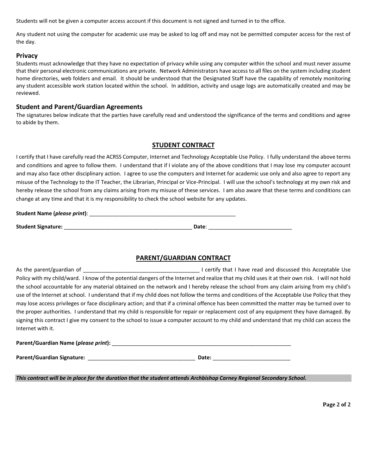Students will not be given a computer access account if this document is not signed and turned in to the office.

Any student not using the computer for academic use may be asked to log off and may not be permitted computer access for the rest of the day.

#### **Privacy**

Students must acknowledge that they have no expectation of privacy while using any computer within the school and must never assume that their personal electronic communications are private. Network Administrators have access to all files on the system including student home directories, web folders and email. It should be understood that the Designated Staff have the capability of remotely monitoring any student accessible work station located within the school. In addition, activity and usage logs are automatically created and may be reviewed.

#### **Student and Parent/Guardian Agreements**

The signatures below indicate that the parties have carefully read and understood the significance of the terms and conditions and agree to abide by them.

#### **STUDENT CONTRACT**

I certify that I have carefully read the ACRSS Computer, Internet and Technology Acceptable Use Policy. I fully understand the above terms and conditions and agree to follow them. I understand that if I violate any of the above conditions that I may lose my computer account and may also face other disciplinary action. I agree to use the computers and Internet for academic use only and also agree to report any misuse of the Technology to the IT Teacher, the Librarian, Principal or Vice-Principal. I will use the school's technology at my own risk and hereby release the school from any claims arising from my misuse of these services. I am also aware that these terms and conditions can change at any time and that it is my responsibility to check the school website for any updates.

| <b>Student Name (please print):</b> |       |
|-------------------------------------|-------|
| <b>Student Signature:</b>           | Date: |

#### **PARENT/GUARDIAN CONTRACT**

| As the parent/guardian of                                                                                                                       | I certify that I have read and discussed this Acceptable Use |
|-------------------------------------------------------------------------------------------------------------------------------------------------|--------------------------------------------------------------|
| Policy with my child/ward. I know of the potential dangers of the Internet and realize that my child uses it at their own risk. I will not hold |                                                              |
| the school accountable for any material obtained on the network and I hereby release the school from any claim arising from my child's          |                                                              |
| use of the Internet at school. I understand that if my child does not follow the terms and conditions of the Acceptable Use Policy that they    |                                                              |
| may lose access privileges or face disciplinary action; and that if a criminal offence has been committed the matter may be turned over to      |                                                              |
| the proper authorities. I understand that my child is responsible for repair or replacement cost of any equipment they have damaged. By         |                                                              |
| signing this contract I give my consent to the school to issue a computer account to my child and understand that my child can access the       |                                                              |
| Internet with it.                                                                                                                               |                                                              |

| Parent/Guardian Name (please print): |  |
|--------------------------------------|--|
|                                      |  |

**Parent/Guardian Signature:** \_\_\_\_\_\_\_\_\_\_\_\_\_\_\_\_\_\_\_\_\_\_\_\_\_\_\_\_\_\_\_\_\_\_\_\_ **Date:** \_\_\_\_\_\_\_\_\_\_\_\_\_\_\_\_\_\_\_\_\_\_\_\_\_\_

*This contract will be in place for the duration that the student attends Archbishop Carney Regional Secondary School.*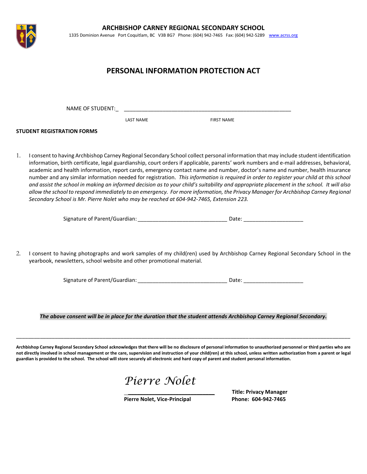

## PERSONAL INFORMATION PROTECTION ACT

NAME OF STUDENT:\_\_\_\_\_\_\_

LAST NAME FIRST NAME

#### **STUDENT REGISTRATION FORMS**

1. I consent to having Archbishop Carney Regional Secondary School collect personal information that may include student identification information, birth certificate, legal guardianship, court orders if applicable, parents' work numbers and e-mail addresses, behavioral, academic and health information, report cards, emergency contact name and number, doctor's name and number, health insurance number and any similar information needed for registration. *This information is required in order to register your child at this school and assist the school in making an informed decision as to your child's suitability and appropriate placement in the school. It will also allow the school to respond immediately to an emergency. For more information, the Privacy Manager for Archbishop Carney Regional Secondary School is Mr. Pierre Nolet who may be reached at 604-942-7465, Extension 223.*

| Signature of Parent/Guardian: | Date: |  |
|-------------------------------|-------|--|
|                               |       |  |
|                               |       |  |

2. I consent to having photographs and work samples of my child(ren) used by Archbishop Carney Regional Secondary School in the yearbook, newsletters, school website and other promotional material.

Signature of Parent/Guardian: *\_\_\_\_\_\_\_\_\_\_\_\_\_\_\_\_\_\_\_\_\_\_\_\_\_\_\_\_\_\_* Date: \_\_\_\_\_\_\_\_\_\_\_\_\_\_\_\_\_\_\_\_

*The above consent will be in place for the duration that the student attends Archbishop Carney Regional Secondary.*

**Archbishop Carney Regional Secondary School acknowledges that there will be no disclosure of personal information to unauthorized personnel or third parties who are not directly involved in school management or the care, supervision and instruction of your child(ren) at this school, unless written authorization from a parent or legal guardian is provided to the school. The school will store securely all electronic and hard copy of parent and student personal information.** 

\_\_\_\_\_\_\_\_\_\_\_\_\_\_\_\_\_\_\_\_\_\_\_\_\_\_\_\_\_\_\_\_\_\_\_\_\_\_\_\_\_\_\_\_\_\_\_\_\_\_\_\_\_\_\_\_\_\_\_\_\_\_\_\_\_\_\_\_\_\_\_\_\_\_\_\_\_\_\_\_\_\_\_\_\_\_\_\_\_\_\_\_\_\_\_\_\_\_\_\_\_\_\_\_\_\_\_\_\_\_\_\_

*Pierre Nolet*

Pierre Nolet, Vice-Principal Phone: 604-942-7465

 **\_\_\_\_\_\_\_\_\_\_\_\_\_\_\_\_\_\_\_\_\_\_\_\_\_\_\_\_\_ Title: Privacy Manager**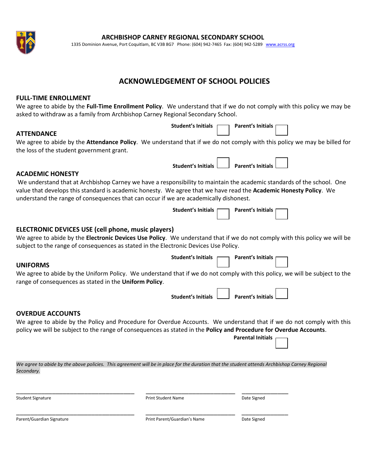

**ARCHBISHOP CARNEY REGIONAL SECONDARY SCHOOL** 1335 Dominion Avenue, Port Coquitlam, BC V3B 8G7 Phone: (604) 942-7465 Fax: (604) 942-5289 [www.acrss.org](http://www.acrss.org/)

## **ACKNOWLEDGEMENT OF SCHOOL POLICIES**

#### **FULL-TIME ENROLLMENT**

We agree to abide by the **Full-Time Enrollment Policy**. We understand that if we do not comply with this policy we may be asked to withdraw as a family from Archbishop Carney Regional Secondary School.

#### **ATTENDANCE**

 **Student's Initials Parent's Initials**

We agree to abide by the **Attendance Policy**. We understand that if we do not comply with this policy we may be billed for the loss of the student government grant.

| Student's Initials | $\Box$ Parent's Initials |
|--------------------|--------------------------|
|--------------------|--------------------------|



#### **ACADEMIC HONESTY**

We understand that at Archbishop Carney we have a responsibility to maintain the academic standards of the school. One value that develops this standard is academic honesty. We agree that we have read the **Academic Honesty Policy**. We understand the range of consequences that can occur if we are academically dishonest.

 **Student's Initials Parent's Initials**

#### **ELECTRONIC DEVICES USE (cell phone, music players)**

We agree to abide by the **Electronic Devices Use Policy**. We understand that if we do not comply with this policy we will be subject to the range of consequences as stated in the Electronic Devices Use Policy.

#### **UNIFORMS**

We agree to abide by the Uniform Policy. We understand that if we do not comply with this policy, we will be subject to the range of consequences as stated in the **Uniform Policy**.

 **Student's Initials Parent's Initials**

 **Student's Initials Parent's Initials**

#### **OVERDUE ACCOUNTS**

We agree to abide by the Policy and Procedure for Overdue Accounts. We understand that if we do not comply with this policy we will be subject to the range of consequences as stated in the **Policy and Procedure for Overdue Accounts**.

**Parental Initials**

*We agree to abide by the above policies. This agreement will be in place for the duration that the student attends Archbishop Carney Regional Secondary.*

| <b>Student Signature</b>  | <b>Print Student Name</b>    | Date Signed |
|---------------------------|------------------------------|-------------|
| Parent/Guardian Signature | Print Parent/Guardian's Name | Date Signed |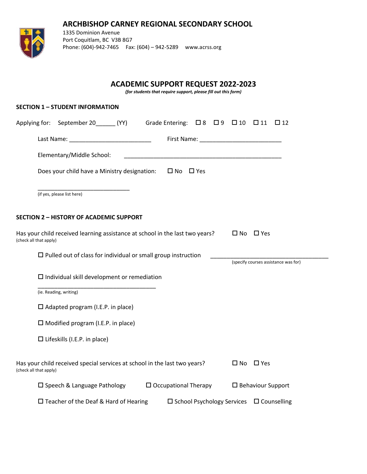## **ARCHBISHOP CARNEY REGIONAL SECONDARY SCHOOL**



1335 Dominion Avenue Port Coquitlam, BC V3B 8G7 Phone: (604)-942-7465 Fax: (604) – 942-5289 www.acrss.org

## **ACADEMIC SUPPORT REQUEST 2022-2023**

*(for students that require support, please fill out this form)*

#### **SECTION 1 – STUDENT INFORMATION**

| Applying for: September 20 (YY) Grade Entering: $\Box$ 8 $\Box$ 9 $\Box$ 10                            | $\square$ 11<br>$\Box$ 12                            |
|--------------------------------------------------------------------------------------------------------|------------------------------------------------------|
|                                                                                                        |                                                      |
| Elementary/Middle School:                                                                              |                                                      |
| Does your child have a Ministry designation:<br>$\square$ No<br>$\square$ Yes                          |                                                      |
| (if yes, please list here)                                                                             |                                                      |
| <b>SECTION 2 - HISTORY OF ACADEMIC SUPPORT</b>                                                         |                                                      |
| Has your child received learning assistance at school in the last two years?<br>(check all that apply) | $\square$ No<br>$\square$ Yes                        |
| $\Box$ Pulled out of class for individual or small group instruction                                   | (specify courses assistance was for)                 |
| $\Box$ Individual skill development or remediation                                                     |                                                      |
| (ie. Reading, writing)                                                                                 |                                                      |
| $\square$ Adapted program (I.E.P. in place)                                                            |                                                      |
| $\square$ Modified program (I.E.P. in place)                                                           |                                                      |
| $\Box$ Lifeskills (I.E.P. in place)                                                                    |                                                      |
| Has your child received special services at school in the last two years?<br>(check all that apply)    | $\Box$ No $\Box$ Yes                                 |
| $\square$ Speech & Language Pathology<br>$\Box$ Occupational Therapy                                   | $\square$ Behaviour Support                          |
| $\Box$ Teacher of the Deaf & Hard of Hearing                                                           | $\Box$ School Psychology Services $\Box$ Counselling |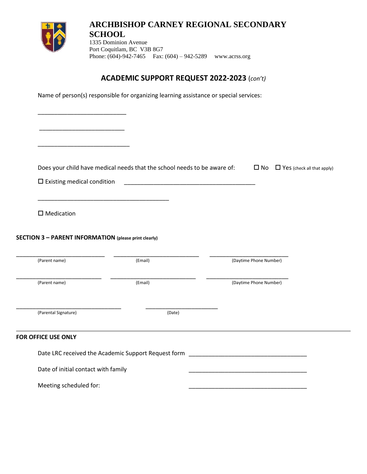

## **ARCHBISHOP CARNEY REGIONAL SECONDARY SCHOOL**

1335 Dominion Avenue Port Coquitlam, BC V3B 8G7 Phone: (604)-942-7465 Fax: (604) – 942-5289 www.acrss.org

## **ACADEMIC SUPPORT REQUEST 2022-2023** (*con't)*

Name of person(s) responsible for organizing learning assistance or special services:

| Does your child have medical needs that the school needs to be aware of:          |         |        |                        | $\Box$ No $\Box$ Yes (check all that apply) |
|-----------------------------------------------------------------------------------|---------|--------|------------------------|---------------------------------------------|
| $\square$ Existing medical condition                                              |         |        |                        |                                             |
|                                                                                   |         |        |                        |                                             |
| $\square$ Medication                                                              |         |        |                        |                                             |
|                                                                                   |         |        |                        |                                             |
| <b>SECTION 3 - PARENT INFORMATION</b> (please print clearly)                      |         |        |                        |                                             |
| (Parent name)                                                                     | (Email) |        | (Daytime Phone Number) |                                             |
| (Parent name)                                                                     | (Email) |        | (Daytime Phone Number) |                                             |
| (Parental Signature)                                                              |         | (Date) |                        |                                             |
| FOR OFFICE USE ONLY                                                               |         |        |                        |                                             |
| Date LRC received the Academic Support Request form _____________________________ |         |        |                        |                                             |
| Date of initial contact with family                                               |         |        |                        |                                             |
| Meeting scheduled for:                                                            |         |        |                        |                                             |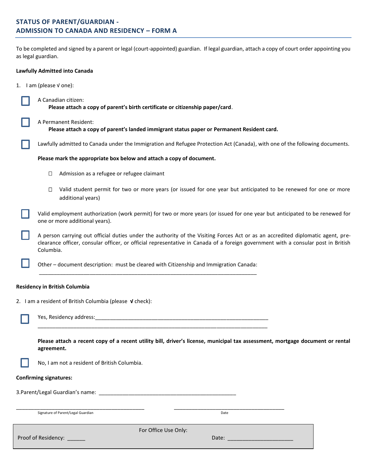#### **STATUS OF PARENT/GUARDIAN - ADMISSION TO CANADA AND RESIDENCY – FORM A**

To be completed and signed by a parent or legal (court-appointed) guardian. If legal guardian, attach a copy of court order appointing you as legal guardian.

#### **Lawfully Admitted into Canada**

1. I am (please √ one):

| A Canadian citizen:<br>Please attach a copy of parent's birth certificate or citizenship paper/card.                                                                                                                                                                              |
|-----------------------------------------------------------------------------------------------------------------------------------------------------------------------------------------------------------------------------------------------------------------------------------|
| A Permanent Resident:<br>Please attach a copy of parent's landed immigrant status paper or Permanent Resident card.                                                                                                                                                               |
| Lawfully admitted to Canada under the Immigration and Refugee Protection Act (Canada), with one of the following documents.                                                                                                                                                       |
| Please mark the appropriate box below and attach a copy of document.                                                                                                                                                                                                              |
| $\Box$<br>Admission as a refugee or refugee claimant                                                                                                                                                                                                                              |
| Valid student permit for two or more years (or issued for one year but anticipated to be renewed for one or more<br>$\Box$<br>additional years)                                                                                                                                   |
| Valid employment authorization (work permit) for two or more years (or issued for one year but anticipated to be renewed for<br>one or more additional years).                                                                                                                    |
| A person carrying out official duties under the authority of the Visiting Forces Act or as an accredited diplomatic agent, pre-<br>clearance officer, consular officer, or official representative in Canada of a foreign government with a consular post in British<br>Columbia. |
| Other - document description: must be cleared with Citizenship and Immigration Canada:                                                                                                                                                                                            |

#### **Residency in British Columbia**

2. I am a resident of British Columbia (please **√** check):

Yes, Residency address:

**Please attach a recent copy of a recent utility bill, driver's license, municipal tax assessment, mortgage document or rental agreement.**

\_\_\_\_\_\_\_\_\_\_\_\_\_\_\_\_\_\_\_\_\_\_\_\_\_\_\_\_\_\_\_\_\_\_\_\_\_\_\_\_\_\_\_\_\_\_\_\_\_\_\_\_\_\_\_\_\_\_\_\_\_\_\_\_\_\_\_\_\_\_\_\_\_\_\_\_\_

For Office Use Only:

No, I am not a resident of British Columbia.

#### **Confirming signatures:**

| 3. Parent/Legal Guardian's name: |  |
|----------------------------------|--|
|----------------------------------|--|

Signature of Parent/Legal Guardian Date

\_\_\_\_\_\_\_\_\_\_\_\_\_\_\_\_\_\_\_\_\_\_\_\_\_\_\_\_\_\_\_\_\_\_\_\_\_\_\_\_\_\_\_ \_\_\_\_\_\_\_\_\_\_\_\_\_\_\_\_\_\_\_\_\_\_\_\_\_\_\_\_\_\_\_\_\_\_\_\_\_

| Proof of Residency: | Date: |  |
|---------------------|-------|--|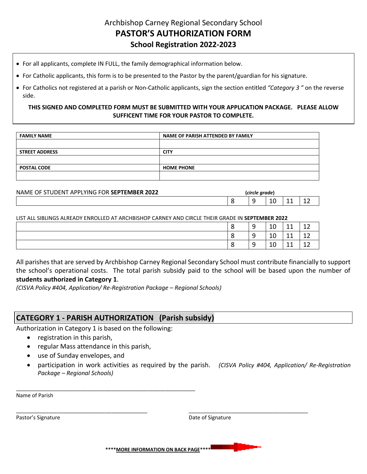## Archbishop Carney Regional Secondary School **PASTOR'S AUTHORIZATION FORM School Registration 2022-2023**

- For all applicants, complete IN FULL, the family demographical information below.
- For Catholic applicants, this form is to be presented to the Pastor by the parent/guardian for his signature.
- For Catholics not registered at a parish or Non-Catholic applicants, sign the section entitled *"Category 3 "* on the reverse side.

#### **THIS SIGNED AND COMPLETED FORM MUST BE SUBMITTED WITH YOUR APPLICATION PACKAGE. PLEASE ALLOW SUFFICENT TIME FOR YOUR PASTOR TO COMPLETE.**

| <b>FAMILY NAME</b>    | <b>NAME OF PARISH ATTENDED BY FAMILY</b> |
|-----------------------|------------------------------------------|
|                       |                                          |
| <b>STREET ADDRESS</b> | <b>CITY</b>                              |
|                       |                                          |
| <b>POSTAL CODE</b>    | <b>HOME PHONE</b>                        |
|                       |                                          |

| APPLYING FOR <b>SEPTEMBER 2022</b><br><b>NAME</b><br>-OF SIUDENT. | (circle grade) |   |  |    |       |
|-------------------------------------------------------------------|----------------|---|--|----|-------|
|                                                                   |                | ٠ |  | -- | - - - |

LIST ALL SIBLINGS ALREADY ENROLLED AT ARCHBISHOP CARNEY AND CIRCLE THEIR GRADE IN **SEPTEMBER 2022**

| ◠<br>$\circ$ | 9 | $\sim$<br>τn | $\overline{A}$<br>. .        | 12<br>ŦΣ     |
|--------------|---|--------------|------------------------------|--------------|
| 8            | 9 | ΤO           | $\overline{A}$<br><b>++</b>  | 12<br>ᅩ      |
| $\circ$      | У | ΤÛ           | $\overline{A}$<br><b>. .</b> | $\sim$<br>∸∸ |

All parishes that are served by Archbishop Carney Regional Secondary School must contribute financially to support the school's operational costs. The total parish subsidy paid to the school will be based upon the number of **students authorized in Category 1**.

*(CISVA Policy #404, Application/ Re-Registration Package – Regional Schools)* 

### **CATEGORY 1 - PARISH AUTHORIZATION (Parish subsidy)**

\_\_\_\_\_\_\_\_\_\_\_\_\_\_\_\_\_\_\_\_\_\_\_\_\_\_\_\_\_\_\_\_\_\_\_\_\_\_\_\_\_\_\_\_\_\_\_\_\_\_\_\_\_\_\_\_\_\_\_\_

Authorization in Category 1 is based on the following:

- registration in this parish,
- regular Mass attendance in this parish,
- use of Sunday envelopes, and
- participation in work activities as required by the parish. *(CISVA Policy #404, Application/ Re-Registration Package – Regional Schools)*

Name of Parish

Pastor's Signature **Date of Signature** Date of Signature Date of Signature

**\*\*\*\*MORE INFORMATION ON BACK PAGE\*\*\*\***

\_\_\_\_\_\_\_\_\_\_\_\_\_\_\_\_\_\_\_\_\_\_\_\_\_\_\_\_\_\_\_\_\_\_\_\_\_\_\_\_\_\_\_\_ \_\_\_\_\_\_\_\_\_\_\_\_\_\_\_\_\_\_\_\_\_\_\_\_\_\_\_\_\_\_\_\_\_\_\_\_\_\_\_\_